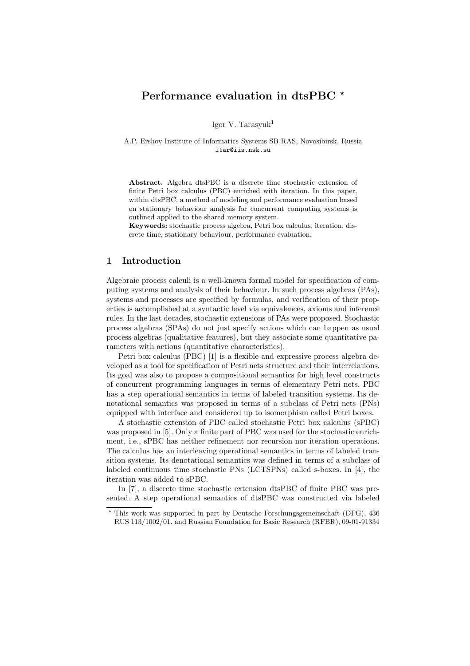# Performance evaluation in dtsPBC  $\star$

Igor V. Tarasyuk $1$ 

A.P. Ershov Institute of Informatics Systems SB RAS, Novosibirsk, Russia itar@iis.nsk.su

Abstract. Algebra dtsPBC is a discrete time stochastic extension of finite Petri box calculus (PBC) enriched with iteration. In this paper, within dtsPBC, a method of modeling and performance evaluation based on stationary behaviour analysis for concurrent computing systems is outlined applied to the shared memory system.

Keywords: stochastic process algebra, Petri box calculus, iteration, discrete time, stationary behaviour, performance evaluation.

### 1 Introduction

Algebraic process calculi is a well-known formal model for specification of computing systems and analysis of their behaviour. In such process algebras (PAs), systems and processes are specified by formulas, and verification of their properties is accomplished at a syntactic level via equivalences, axioms and inference rules. In the last decades, stochastic extensions of PAs were proposed. Stochastic process algebras (SPAs) do not just specify actions which can happen as usual process algebras (qualitative features), but they associate some quantitative parameters with actions (quantitative characteristics).

Petri box calculus (PBC) [1] is a flexible and expressive process algebra developed as a tool for specification of Petri nets structure and their interrelations. Its goal was also to propose a compositional semantics for high level constructs of concurrent programming languages in terms of elementary Petri nets. PBC has a step operational semantics in terms of labeled transition systems. Its denotational semantics was proposed in terms of a subclass of Petri nets (PNs) equipped with interface and considered up to isomorphism called Petri boxes.

A stochastic extension of PBC called stochastic Petri box calculus (sPBC) was proposed in [5]. Only a finite part of PBC was used for the stochastic enrichment, i.e., sPBC has neither refinement nor recursion nor iteration operations. The calculus has an interleaving operational semantics in terms of labeled transition systems. Its denotational semantics was defined in terms of a subclass of labeled continuous time stochastic PNs (LCTSPNs) called s-boxes. In [4], the iteration was added to sPBC.

In [7], a discrete time stochastic extension dtsPBC of finite PBC was presented. A step operational semantics of dtsPBC was constructed via labeled

<sup>⋆</sup> This work was supported in part by Deutsche Forschungsgemeinschaft (DFG), 436 RUS 113/1002/01, and Russian Foundation for Basic Research (RFBR), 09-01-91334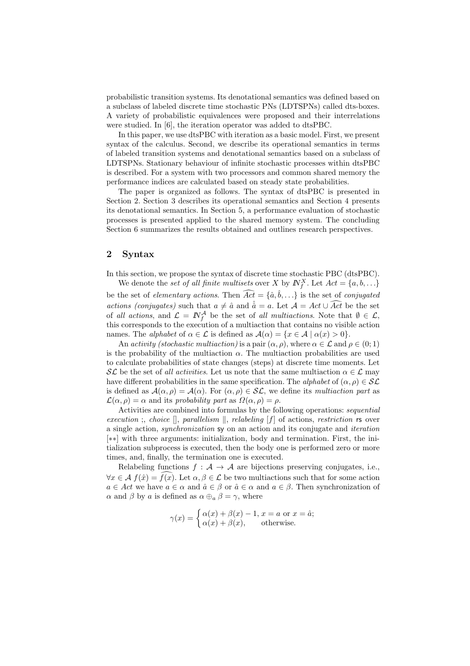probabilistic transition systems. Its denotational semantics was defined based on a subclass of labeled discrete time stochastic PNs (LDTSPNs) called dts-boxes. A variety of probabilistic equivalences were proposed and their interrelations were studied. In [6], the iteration operator was added to dtsPBC.

In this paper, we use dtsPBC with iteration as a basic model. First, we present syntax of the calculus. Second, we describe its operational semantics in terms of labeled transition systems and denotational semantics based on a subclass of LDTSPNs. Stationary behaviour of infinite stochastic processes within dtsPBC is described. For a system with two processors and common shared memory the performance indices are calculated based on steady state probabilities.

The paper is organized as follows. The syntax of dtsPBC is presented in Section 2. Section 3 describes its operational semantics and Section 4 presents its denotational semantics. In Section 5, a performance evaluation of stochastic processes is presented applied to the shared memory system. The concluding Section 6 summarizes the results obtained and outlines research perspectives.

## 2 Syntax

In this section, we propose the syntax of discrete time stochastic PBC (dtsPBC).

We denote the *set of all finite multisets* over X by  $N_f^X$ . Let  $Act = \{a, b, \ldots\}$ be the set of *elementary actions*. Then  $\widehat{Act} = \{\hat{a}, \hat{b}, \ldots\}$  is the set of *conjugated actions (conjugates)* such that  $a \neq \hat{a}$  and  $\hat{a} = a$ . Let  $\mathcal{A} = Act \cup \widehat{Act}$  be the set of *all actions*, and  $\mathcal{L} = \mathbb{N}_{f}^{\mathcal{A}}$  be the set of *all multiactions*. Note that  $\emptyset \in \mathcal{L}$ , this corresponds to the execution of a multiaction that contains no visible action names. The *alphabet* of  $\alpha \in \mathcal{L}$  is defined as  $\mathcal{A}(\alpha) = \{x \in \mathcal{A} \mid \alpha(x) > 0\}.$ 

An *activity (stochastic multiaction)* is a pair  $(\alpha, \rho)$ , where  $\alpha \in \mathcal{L}$  and  $\rho \in (0, 1)$ is the probability of the multiaction  $\alpha$ . The multiaction probabilities are used to calculate probabilities of state changes (steps) at discrete time moments. Let SL be the set of *all activities*. Let us note that the same multiaction  $\alpha \in \mathcal{L}$  may have different probabilities in the same specification. The *alphabet* of  $(\alpha, \rho) \in \mathcal{SL}$ is defined as  $\mathcal{A}(\alpha,\rho) = \mathcal{A}(\alpha)$ . For  $(\alpha,\rho) \in \mathcal{SL}$ , we define its *multiaction part* as  $\mathcal{L}(\alpha,\rho) = \alpha$  and its *probability part* as  $\Omega(\alpha,\rho) = \rho$ .

Activities are combined into formulas by the following operations: *sequential execution* ;, *choice*  $\lbrack \rbrack$ , *parallelism*  $\lbrack \rbrack$ , *relabeling*  $\lbrack f]$  of actions, *restriction* rs over a single action, *synchronization* sy on an action and its conjugate and *iteration* [∗∗] with three arguments: initialization, body and termination. First, the initialization subprocess is executed, then the body one is performed zero or more times, and, finally, the termination one is executed.

Relabeling functions  $f : A \to A$  are bijections preserving conjugates, i.e.,  $\forall x \in \mathcal{A}$   $f(\hat{x}) = f(x)$ . Let  $\alpha, \beta \in \mathcal{L}$  be two multiactions such that for some action  $a \in Act$  we have  $a \in \alpha$  and  $\hat{a} \in \beta$  or  $\hat{a} \in \alpha$  and  $a \in \beta$ . Then synchronization of  $\alpha$  and  $\beta$  by a is defined as  $\alpha \oplus_{a} \beta = \gamma$ , where

$$
\gamma(x) = \begin{cases} \alpha(x) + \beta(x) - 1, x = a \text{ or } x = \hat{a}; \\ \alpha(x) + \beta(x), \text{ otherwise.} \end{cases}
$$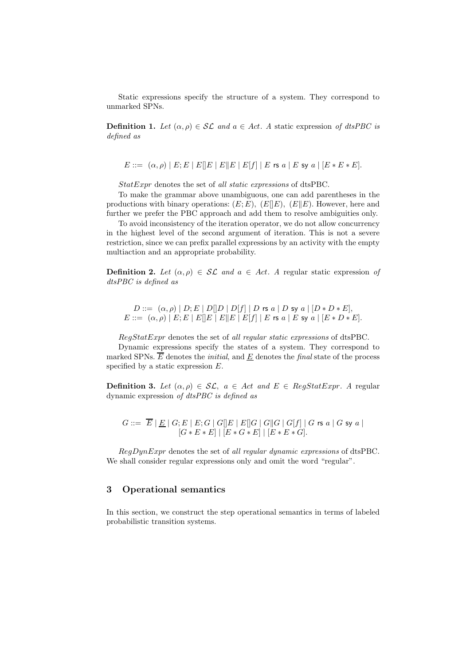Static expressions specify the structure of a system. They correspond to unmarked SPNs.

**Definition 1.** Let  $(\alpha, \rho) \in \mathcal{SL}$  and  $a \in Act$ . A static expression of dtsPBC is *defined as*

$$
E ::= (\alpha, \rho) | E; E | E | E | E | E | E | E | f | | E \text{ is a } | E \text{ sy a } | [E * E * E].
$$

StatExpr denotes the set of *all static expressions* of dtsPBC.

To make the grammar above unambiguous, one can add parentheses in the productions with binary operations:  $(E; E)$ ,  $(E||E)$ ,  $(E||E)$ . However, here and further we prefer the PBC approach and add them to resolve ambiguities only.

To avoid inconsistency of the iteration operator, we do not allow concurrency in the highest level of the second argument of iteration. This is not a severe restriction, since we can prefix parallel expressions by an activity with the empty multiaction and an appropriate probability.

**Definition 2.** Let  $(\alpha, \rho) \in \mathcal{SL}$  and  $a \in Act$ . A regular static expression of *dtsPBC is defined as*

 $D ::= (\alpha, \rho) | D: E | D[|D| | D[f] | D$  rs  $a | D$  sy  $a | [D * D * E].$  $E ::= (\alpha, \rho) | E; E | E | E | E | E | E | E | f | E \text{ is a } | E \text{ sy a } | [E * D * E].$ 

RegStatExpr denotes the set of *all regular static expressions* of dtsPBC.

Dynamic expressions specify the states of a system. They correspond to marked SPNs.  $\overline{E}$  denotes the *initial*, and  $\underline{E}$  denotes the *final* state of the process specified by a static expression  $E$ .

**Definition 3.** Let  $(\alpha, \rho) \in \mathcal{SL}$ ,  $a \in Act$  and  $E \in RegStatExpr$ . A regular dynamic expression *of dtsPBC is defined as*

$$
G ::= \overline{E} | \underline{E} | G; E | E; G | G[]E | E[]G | G[]G | G[f] | G \text{ is a } | G \text{ s y a } |
$$
  

$$
[G * E * E] | [E * G * E] | [E * E * G].
$$

RegDynExpr denotes the set of *all regular dynamic expressions* of dtsPBC. We shall consider regular expressions only and omit the word "regular".

## 3 Operational semantics

In this section, we construct the step operational semantics in terms of labeled probabilistic transition systems.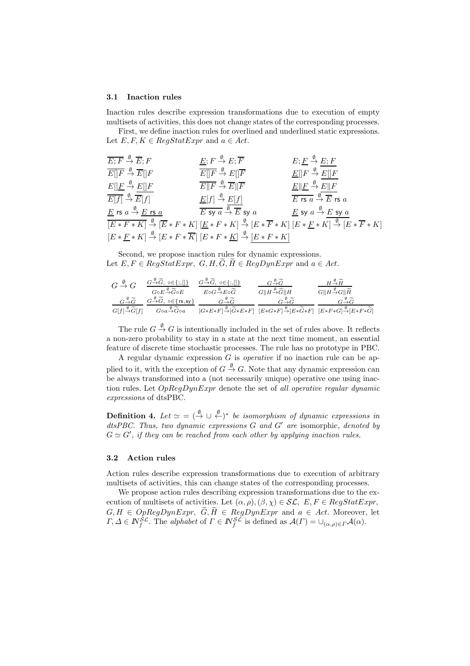#### 3.1 Inaction rules

Inaction rules describe expression transformations due to execution of empty multisets of activities, this does not change states of the corresponding processes.

First, we define inaction rules for overlined and underlined static expressions. Let  $E, F, K \in RegStatExpr$  and  $a \in Act$ .

| $\overline{E}; \overline{F} \xrightarrow{\theta} \overline{E}; F$                                                                                                                                                                           | $\underline{E}; F \xrightarrow{\theta} E; \overline{F}$                    | $E; \underline{F} \xrightarrow{\theta} \underline{E}; F$                                             |
|---------------------------------------------------------------------------------------------------------------------------------------------------------------------------------------------------------------------------------------------|----------------------------------------------------------------------------|------------------------------------------------------------------------------------------------------|
| $\overline{E}[\overline{F} \xrightarrow{\theta} E][F]$                                                                                                                                                                                      | $\overline{E}[\overline{F} \xrightarrow{\theta} E][\overline{F}]$          | $\underline{E}[[F \xrightarrow{\theta} E][F]$                                                        |
| $\underline{E}[[\underline{F} \xrightarrow{\theta} E][F]$                                                                                                                                                                                   | $\overline{E}[[\overline{F} \xrightarrow{\theta} E][\overline{F}]$         | $\underline{E}[[F \xrightarrow{\theta} E][F]$                                                        |
| $\overline{E}[f] \xrightarrow{\theta} \overline{E}[f]$                                                                                                                                                                                      | $\underline{E}[f] \xrightarrow{\theta} \overline{E}[f]$                    | $\underline{E}[[\underline{F} \xrightarrow{\theta} E][F]$                                            |
| $\overline{E}[f] \xrightarrow{\theta} \overline{E}$                                                                                                                                                                                         | $\overline{E}[f] \xrightarrow{\theta} \overline{E}[f]$                     | $\overline{E} \xrightarrow{\theta} \overline{E}$                                                     |
| $\overline{E} \xrightarrow{\text{rs a}} \xrightarrow{\theta} \overline{E} \xrightarrow{\text{rs a}}$                                                                                                                                        | $\overline{E} \xrightarrow{\text{sy a}} \xrightarrow{\theta} \overline{E}$ | $\overline{E} \xrightarrow{\text{sy a}} \xrightarrow{\theta} \overline{E} \xrightarrow{\text{rs a}}$ |
| $\overline{E} * F * K] \xrightarrow{\theta} [\overline{E} * F * K] [\underline{E} * F * K] \xrightarrow{\theta} [\overline{E} * \overline{F} * K] [\overline{E} * \overline{F} * K] \xrightarrow{\theta} [\overline{E} * \overline{F} * K]$ |                                                                            |                                                                                                      |
| $\overline{E} * \overline{E} * K] \xrightarrow{\theta} [\overline{E} * F * \over$                                                                                                                                                           |                                                                            |                                                                                                      |

Second, we propose inaction rules for dynamic expressions. Let  $E, F \in RegStatexpr$ ,  $G, H, \widetilde{G}, \widetilde{H} \in RegDynExpr$  and  $a \in Act$ .

$$
G \stackrel{\emptyset}{\rightarrow} G \quad \xrightarrow{G \stackrel{\emptyset}{\rightarrow} \widetilde{G}, \ o \in \{;,\,\} \atop G \circ \beta \stackrel{\emptyset}{\rightarrow} \widetilde{G} \circ E} \quad \xrightarrow{G \stackrel{\emptyset}{\rightarrow} \widetilde{G}, \ o \in \{;,\,\} \atop G \circ G \stackrel{\emptyset}{\rightarrow} \widetilde{G} \circ G} \quad \xrightarrow{G \stackrel{\emptyset}{\rightarrow} \widetilde{G}} \quad \xrightarrow{G \stackrel{\emptyset}{\rightarrow} \widetilde{G}} \quad \xrightarrow{G \stackrel{\emptyset}{\rightarrow} \widetilde{G}} \quad \xrightarrow{H \stackrel{\emptyset}{\rightarrow} \widetilde{H}} \quad \xrightarrow{H \stackrel{\emptyset}{\rightarrow} \widetilde{H}} \quad \xrightarrow{G \stackrel{\emptyset}{\rightarrow} \widetilde{G}} \quad \xrightarrow{G \stackrel{\emptyset}{\rightarrow} \widetilde{G}} \quad \xrightarrow{G \stackrel{\emptyset}{\rightarrow} \widetilde{G}} \quad \xrightarrow{G \stackrel{\emptyset}{\rightarrow} \widetilde{G}} \quad \xrightarrow{G \stackrel{\emptyset}{\rightarrow} \widetilde{G}} \quad \xrightarrow{G \stackrel{\emptyset}{\rightarrow} \widetilde{G}} \quad \xrightarrow{G \stackrel{\emptyset}{\rightarrow} \widetilde{G}} \quad \xrightarrow{G \stackrel{\emptyset}{\rightarrow} \widetilde{G}} \quad \xrightarrow{G \stackrel{\emptyset}{\rightarrow} \widetilde{G}} \quad \xrightarrow{G \stackrel{\emptyset}{\rightarrow} \widetilde{G}} \quad \xrightarrow{G \stackrel{\emptyset}{\rightarrow} \widetilde{G}} \quad \xrightarrow{G \stackrel{\emptyset}{\rightarrow} \widetilde{G}} \quad \xrightarrow{G \stackrel{\emptyset}{\rightarrow} \widetilde{G}} \quad \xrightarrow{G \stackrel{\emptyset}{\rightarrow} \widetilde{G}} \quad \xrightarrow{G \stackrel{\emptyset}{\rightarrow} \widetilde{G}} \quad \xrightarrow{G \stackrel{\emptyset}{\rightarrow} \widetilde{G}} \quad \xrightarrow{G \stackrel{\emptyset}{\rightarrow} \widetilde{G}} \quad \xrightarrow{G \stackrel{\emptyset}{\rightarrow} \widetilde{G}} \quad \xrightarrow{G \stackrel{\emptyset}{\rightarrow} \widetilde{G}} \quad \xrightarrow{G \stackrel{\emptyset}{\rightarrow} \widetilde{G}} \quad \xrightarrow{G \stackrel{\emptyset}{\rightarrow} \widetilde{
$$

The rule  $G \stackrel{\emptyset}{\to} G$  is intentionally included in the set of rules above. It reflects a non-zero probability to stay in a state at the next time moment, an essential feature of discrete time stochastic processes. The rule has no prototype in PBC.

A regular dynamic expression G is *operative* if no inaction rule can be applied to it, with the exception of  $G \stackrel{\emptyset}{\to} G$ . Note that any dynamic expression can be always transformed into a (not necessarily unique) operative one using inaction rules. Let OpRegDynExpr denote the set of *all operative regular dynamic expressions* of dtsPBC.

**Definition 4.** Let  $\simeq$   $=$   $(\stackrel{\emptyset}{\rightarrow} \cup \stackrel{\emptyset}{\leftarrow})^*$  be isomorphism of dynamic expressions in *dtsPBC. Thus, two dynamic expressions* G *and* G′ *are* isomorphic*, denoted by*  $G \simeq G'$ , if they can be reached from each other by applying inaction rules.

#### 3.2 Action rules

Action rules describe expression transformations due to execution of arbitrary multisets of activities, this can change states of the corresponding processes.

We propose action rules describing expression transformations due to the execution of multisets of activities. Let  $(\alpha, \rho), (\beta, \chi) \in \mathcal{SL}, E, F \in RegStatExpr$ ,  $G, H \in OpRegDynExpr, G, H \in RegDynExpr$  and  $a \in Act$ . Moreover, let  $\Gamma, \Delta \in \mathbb{N}_{f}^{\mathcal{SL}}$ . The *alphabet* of  $\Gamma \in \mathbb{N}_{f}^{\mathcal{SL}}$  is defined as  $\mathcal{A}(\Gamma) = \cup_{(\alpha,\rho) \in \Gamma} \mathcal{A}(\alpha)$ .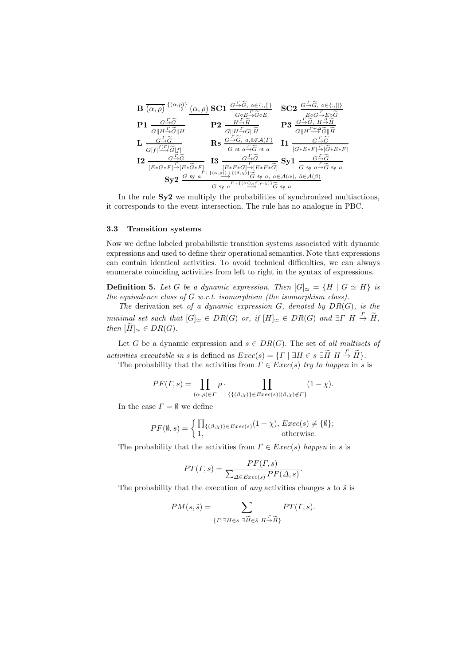

In the rule  $Sy2$  we multiply the probabilities of synchronized multiactions, it corresponds to the event intersection. The rule has no analogue in PBC.

#### 3.3 Transition systems

Now we define labeled probabilistic transition systems associated with dynamic expressions and used to define their operational semantics. Note that expressions can contain identical activities. To avoid technical difficulties, we can always enumerate coinciding activities from left to right in the syntax of expressions.

**Definition 5.** Let G be a dynamic expression. Then  $[G]_{\simeq} = \{H \mid G \simeq H\}$  is *the equivalence class of* G *w.r.t. isomorphism (the isomorphism class).*

*The* derivation set *of a dynamic expression* G*, denoted by* DR(G)*, is the*  $minimal\ set\ such\ that\ [G]_{\simeq}\ \in\ DR(G)\ \ or,\ if\ [H]_{\simeq}\ \in\ DR(G)\ \ and\ \ \exists\varGamma\ \ H\stackrel{\varGamma}{\to}\widetilde{H},$ *then*  $[H]_{\sim} \in DR(G)$ *.* 

Let G be a dynamic expression and  $s \in DR(G)$ . The set of *all multisets of activities executable in s* is defined as  $Exec(s) = \{ \Gamma \mid \exists H \in s \exists \widetilde{H} \ H \stackrel{\Gamma}{\rightarrow} \widetilde{H} \}.$ 

The probability that the activities from  $\Gamma \in \mathbb{E} \mathbb{E} \mathbb{E} \mathbb{E} \mathbb{E} \mathbb{E} \mathbb{E} \mathbb{E} \mathbb{E} \mathbb{E} \mathbb{E} \mathbb{E} \mathbb{E} \mathbb{E} \mathbb{E} \mathbb{E} \mathbb{E} \mathbb{E} \mathbb{E} \mathbb{E} \mathbb{E} \mathbb{E} \mathbb{E} \mathbb{E} \mathbb{E} \mathbb{E} \mathbb{E} \mathbb{E} \mathbb{E} \$ 

$$
PF(\Gamma, s) = \prod_{(\alpha, \rho) \in \Gamma} \rho \cdot \prod_{\{\{(\beta, \chi)\}\in \text{Exec}(s) | (\beta, \chi) \notin \Gamma\}} (1 - \chi).
$$

In the case  $\Gamma = \emptyset$  we define

$$
PF(\emptyset, s) = \begin{cases} \prod_{\{(\beta, \chi)\} \in E \text{vec}(s)} (1 - \chi), \ E \text{vec}(s) \neq \{\emptyset\}; \\ 1, \qquad \text{otherwise.} \end{cases}
$$

The probability that the activities from  $\Gamma \in \text{Exec}(s)$  *happen* in s is

$$
PT(\Gamma, s) = \frac{PF(\Gamma, s)}{\sum_{\Delta \in E}{\text{vec}(s)} PF(\Delta, s)}.
$$

The probability that the execution of *any* activities changes s to  $\tilde{s}$  is

$$
PM(s, \tilde{s}) = \sum_{\{ \Gamma \mid \exists H \in s \ \exists \widetilde{H} \in \tilde{s} \ H \to \widetilde{H} \}} PT(\Gamma, s).
$$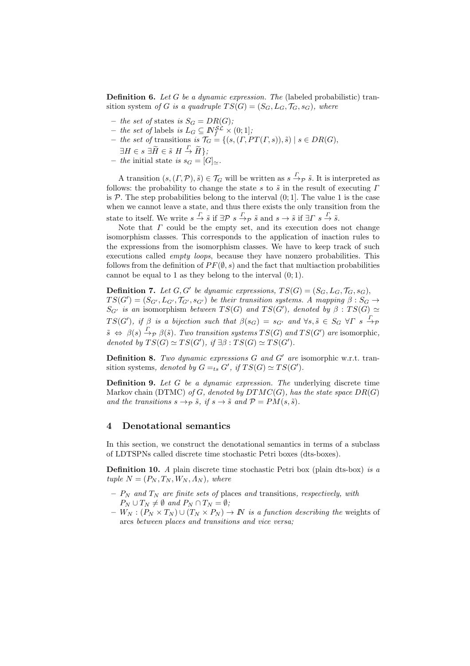Definition 6. *Let* G *be a dynamic expression. The* (labeled probabilistic) transition system *of* G *is a quadruple*  $TS(G) = (S_G, L_G, \mathcal{T}_G, s_G)$ *, where* 

- $-$  *the set of* states *is*  $S_G = DR(G);$
- − *the set of* labels *is*  $L_G ⊆ N_f^{\mathcal{SL}} \times (0; 1]$ ;
- $-$  *the set of* transitions *is*  $\mathcal{T}_G = \{(s, (\Gamma, PT(\Gamma, s)), \tilde{s}) \mid s \in DR(G),\}$
- $\exists H \in s \; \exists \widetilde{H} \in \tilde{s} \; H \stackrel{\Gamma}{\to} \widetilde{H} \};$
- $-$  *the* initial state *is*  $s_G = [G]_∼$ .

A transition  $(s, (\Gamma, \mathcal{P}), \tilde{s}) \in \mathcal{T}_G$  will be written as  $s \xrightarrow{\Gamma} \tilde{s}$ . It is interpreted as follows: the probability to change the state s to  $\tilde{s}$  in the result of executing  $\Gamma$ is  $\mathcal P$ . The step probabilities belong to the interval  $(0, 1]$ . The value 1 is the case when we cannot leave a state, and thus there exists the only transition from the state to itself. We write  $s \stackrel{\Gamma}{\to} \tilde{s}$  if  $\exists \mathcal{P} \ s \stackrel{\Gamma}{\to} \tilde{s}$  and  $s \to \tilde{s}$  if  $\exists \Gamma \ s \stackrel{\Gamma}{\to} \tilde{s}$ .

Note that  $\Gamma$  could be the empty set, and its execution does not change isomorphism classes. This corresponds to the application of inaction rules to the expressions from the isomorphism classes. We have to keep track of such executions called *empty loops*, because they have nonzero probabilities. This follows from the definition of  $PF(\emptyset, s)$  and the fact that multiaction probabilities cannot be equal to 1 as they belong to the interval  $(0, 1)$ .

**Definition 7.** Let  $G, G'$  be dynamic expressions,  $TS(G) = (S_G, L_G, \mathcal{T}_G, s_G)$ ,  $TS(G') = (S_{G'}, L_{G'}, \mathcal{T}_{G'}, s_{G'})$  *be their transition systems. A mapping*  $\beta : S_G \rightarrow$  $S_{G'}$  *is an* isomorphism *between*  $TS(G)$  *and*  $TS(G')$ *, denoted by*  $\beta : TS(G) \simeq$  $TS(G')$ , if  $\beta$  is a bijection such that  $\beta(s_G) = s_{G'}$  and  $\forall s, \tilde{s} \in S_G$   $\forall \Gamma$   $s \stackrel{\Gamma}{\rightarrow} p$  $\tilde{s} \Leftrightarrow \beta(s) \stackrel{\Gamma}{\rightarrow} \beta(\tilde{s})$ *. Two transition systems*  $TS(G)$  *and*  $TS(G')$  *are* isomorphic, *denoted by*  $TS(G) \simeq TS(G')$ *,* if  $\exists \beta : TS(G) \simeq TS(G')$ *.* 

Definition 8. *Two dynamic expressions* G *and* G′ *are* isomorphic w.r.t. transition systems, denoted by  $G =_{ts} G'$ , if  $TS(G) \simeq TS(G')$ .

Definition 9. *Let* G *be a dynamic expression. The* underlying discrete time Markov chain (DTMC) *of*  $G$ *, denoted by*  $DTMC(G)$ *, has the state space*  $DR(G)$ *and the transitions*  $s \rightarrow_{\mathcal{P}} \tilde{s}$ *, if*  $s \rightarrow \tilde{s}$  *and*  $\mathcal{P} = PM(s, \tilde{s})$ *.* 

### 4 Denotational semantics

In this section, we construct the denotational semantics in terms of a subclass of LDTSPNs called discrete time stochastic Petri boxes (dts-boxes).

Definition 10. *A* plain discrete time stochastic Petri box (plain dts-box) *is a*  $tuple N = (P_N, T_N, W_N, A_N), where$ 

- $-P_N$  *and*  $T_N$  *are finite sets of* places *and* transitions, *respectively, with*  $P_N \cup T_N \neq \emptyset$  and  $P_N \cap T_N = \emptyset$ ;
- $W_N : (P_N \times T_N) \cup (T_N \times P_N) \to \mathbb{N}$  *is a function describing the weights of* arcs *between places and transitions and vice versa;*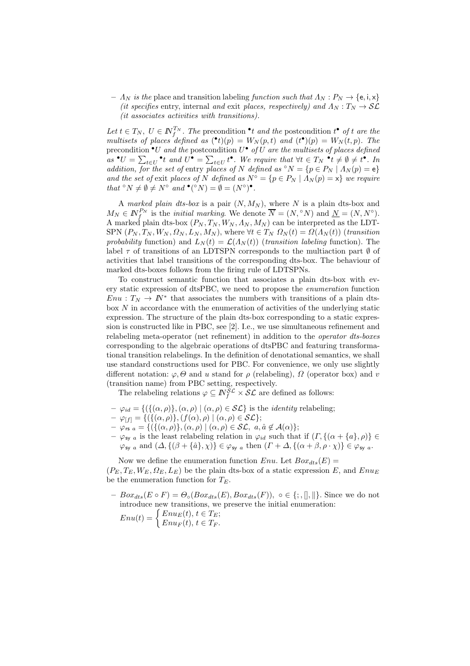$\Lambda_N$  *is the* place and transition labeling *function such that*  $\Lambda_N$  :  $P_N \to \{e, i, x\}$ *(it specifies* entry, internal *and* exit *places, respectively)* and  $\Lambda_N : T_N \to \mathcal{SL}$ *(it associates activities with transitions).*

Let  $t \in T_N$ ,  $U \in \mathbb{N}_{f}^{T_N}$ . The precondition  $\cdot^{\bullet}$  *and the* postcondition  $t^{\bullet}$  *of* t *are the multisets of places defined as*  $(\bullet t)(p) = W_N(p, t)$  *and*  $(t^{\bullet})(p) = W_N(t, p)$ *. The* precondition •U *and the* postcondition U • *of* U *are the multisets of places defined*  $as \bullet U = \sum_{t \in U} \bullet_t$  and  $U^{\bullet} = \sum_{t \in U} t^{\bullet}$ . We require that  $\forall t \in T_N \bullet_t \neq \emptyset \neq t^{\bullet}$ . In *addition, for the set of entry places of* N *defined as*  $\circ N = \{p \in P_N \mid \Lambda_N(p) = e\}$ *and the set of exit places of* N *defined as*  $N^{\circ} = \{p \in P_N \mid \Lambda_N(p) = x\}$  *we require that*  $\circ N \neq \emptyset \neq N^{\circ}$  *and*  $\bullet(\circ N) = \emptyset = (N^{\circ})^{\bullet}$ *.* 

A *marked plain dts-box* is a pair  $(N, M_N)$ , where N is a plain dts-box and  $M_N \in \mathbb{N}_{f}^{P_N}$  is the *initial marking*. We denote  $\overline{N} = (N, \degree N)$  and  $\underline{N} = (N, N^{\degree})$ . A marked plain dts-box  $(P_N, T_N, W_N, \Lambda_N, M_N)$  can be interpreted as the LDT-SPN  $(P_N, T_N, W_N, \Omega_N, L_N, M_N)$ , where  $\forall t \in T_N$   $\Omega_N(t) = \Omega(\Lambda_N(t))$  (*transition*) *probability* function) and  $L_N(t) = \mathcal{L}(\Lambda_N(t))$  (*transition labeling* function). The label  $\tau$  of transitions of an LDTSPN corresponds to the multiaction part  $\emptyset$  of activities that label transitions of the corresponding dts-box. The behaviour of marked dts-boxes follows from the firing rule of LDTSPNs.

To construct semantic function that associates a plain dts-box with every static expression of dtsPBC, we need to propose the *enumeration* function  $Enu: T_N \to \mathbb{N}^*$  that associates the numbers with transitions of a plain dts- $\Delta$  box N in accordance with the enumeration of activities of the underlying static expression. The structure of the plain dts-box corresponding to a static expression is constructed like in PBC, see [2]. I.e., we use simultaneous refinement and relabeling meta-operator (net refinement) in addition to the *operator dts-boxes* corresponding to the algebraic operations of dtsPBC and featuring transformational transition relabelings. In the definition of denotational semantics, we shall use standard constructions used for PBC. For convenience, we only use slightly different notation:  $\varphi$ ,  $\Theta$  and u stand for  $\rho$  (relabeling),  $\Omega$  (operator box) and v (transition name) from PBC setting, respectively.

The relabeling relations  $\varphi \subseteq \mathbb{N}_{f}^{\mathcal{SL}} \times \mathcal{SL}$  are defined as follows:

- $-\varphi_{id} = \{ (\{(\alpha, \rho)\}, (\alpha, \rho) \mid (\alpha, \rho) \in \mathcal{SL} \}$  is the *identity* relabeling;
- $-\varphi_{[f]} = \{ (\{(\alpha,\rho)\},(f(\alpha),\rho) \mid (\alpha,\rho) \in \mathcal{SL} \};$
- $-\varphi_{rs} a = \{ (\{(\alpha, \rho)\}, (\alpha, \rho) \mid (\alpha, \rho) \in \mathcal{SL}, \ a, \hat{a} \notin \mathcal{A}(\alpha) \};$
- $\varphi_{\text{sy } a}$  is the least relabeling relation in  $\varphi_{id}$  such that if  $(\Gamma, \{(\alpha + \{a\}, \rho)\}\in$  $\varphi_{\mathsf{sy}\, a}$  and  $(\Delta, \{(\beta + \{\hat{a}\}, \chi)\}\in \varphi_{\mathsf{sy}\, a}$  then  $(\Gamma + \Delta, \{(\alpha + \beta, \rho \cdot \chi)\}\in \varphi_{\mathsf{sy}\, a}$ .

Now we define the enumeration function  $Enu$ . Let  $Box_{dts}(E)$  =  $(P_E, T_E, W_E, \Omega_E, L_E)$  be the plain dts-box of a static expression E, and Enu<sub>E</sub> be the enumeration function for  $T_E$ .

 $-Box_{dts}(E \circ F) = \Theta_{\circ}(Box_{dts}(E),Box_{dts}(F)), \circ \in \{; , \|, \| \}.$  Since we do not introduce new transitions, we preserve the initial enumeration:  $Enu(t) = \begin{cases} Enu_E(t), t \in T_E; \\ E_{E2}(t), t \in T. \end{cases}$  $Enu<sub>F</sub>(t), t \in T<sub>F</sub>.$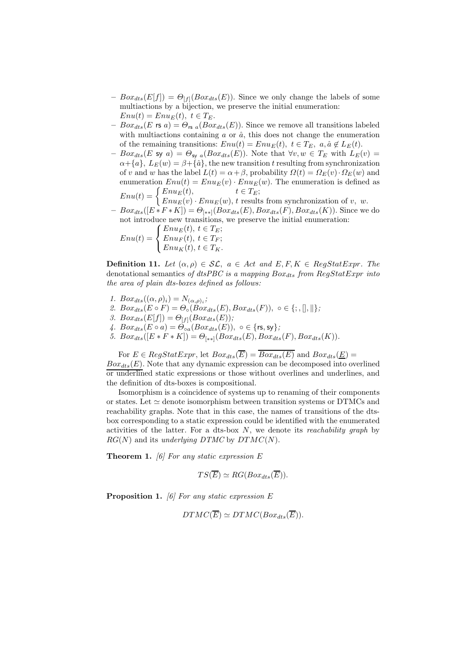- $-PiSat_{ts}(E[f]) = \Theta_{[f]}(Box_{dts}(E)).$  Since we only change the labels of some multiactions by a bijection, we preserve the initial enumeration:  $Enu(t) = Enu_E(t), t \in T_E.$
- $Box_{dts}(E \r{rs} a) = \Theta_{rs a}(Box_{dts}(E)).$  Since we remove all transitions labeled with multiactions containing  $\alpha$  or  $\hat{a}$ , this does not change the enumeration of the remaining transitions:  $Env(t) = Env_E(t), t \in T_E, a, \hat{a} \notin L_E(t)$ .
- $Box_{dts}(E \text{ sy } a) = \Theta_{\text{sy } a}(Box_{dts}(E))$ . Note that  $\forall v, w \in T_E$  with  $L_E(v)$  $\alpha + \{a\}, L_E(w) = \beta + \{\hat{a}\}\$ , the new transition t resulting from synchronization of v and w has the label  $L(t) = \alpha + \beta$ , probability  $\Omega(t) = \Omega_E(v) \cdot \Omega_E(w)$  and enumeration  $Env(t) = Env_E(v) \cdot Env_E(w)$ . The enumeration is defined as  $Env(t) = \begin{cases} Env_E(t), & t \in T_E; \\ E_{\text{max}}(t) & F_{\text{max}}(t) \end{cases}$

$$
Enu(t) = \begin{cases} Enu_E(v) \cdot Enu_E(w), \ t \text{ results from synchronization of } v, \ w. \\ Box_{dts}([E * F * K]) = \Theta_{[**]}(Box_{dts}(E), Box_{dts}(F), Box_{dts}(K)). \text{ Since we do not introduce new transitions, we preserve the initial enumeration:} \\ \text{Equation (Enu_E(t), t \in T_F)} \end{cases}
$$

$$
Enu(t) = \begin{cases} Enu_E(t), \ t \in T_E; \\ Enu_F(t), \ t \in T_F; \\ Enu_K(t), \ t \in T_K. \end{cases}
$$

**Definition 11.** Let  $(\alpha, \rho) \in \mathcal{SL}$ ,  $a \in Act$  and  $E, F, K \in RegStatExpr$ . The denotational semantics of dtsPBC is a mapping  $Box_{dts}$  from  $RegStatExpr$  into *the area of plain dts-boxes defined as follows:*

- *1.*  $Box_{dts}((\alpha, \rho)_i) = N_{(\alpha, \rho)_i};$
- 2.  $Box_{dts}(E \circ F) = \Theta_{\circ}(Box_{dts}(E),Box_{dts}(F)), \circ \in \{; , \|, \| \};$
- 3.  $Box_{dts}(E[f]) = \Theta_{[f]}(Box_{dts}(E));$
- 4.  $Box_{dts}(E \circ a) = \mathcal{O}_{oa}(Box_{dts}(E)), o \in \{rs, sy\};$
- *5.*  $Box_{dts}([E * F * K]) = \Theta_{[**]}(Box_{dts}(E), Box_{dts}(F), Box_{dts}(K)).$

For  $E \in RegStatexpr$ , let  $Box_{dts}(\overline{E}) = \overline{Box_{dts}(E)}$  and  $Box_{dts}(E) =$  $Box_{dts}(E)$ . Note that any dynamic expression can be decomposed into overlined or underlined static expressions or those without overlines and underlines, and the definition of dts-boxes is compositional.

Isomorphism is a coincidence of systems up to renaming of their components or states. Let  $\simeq$  denote isomorphism between transition systems or DTMCs and reachability graphs. Note that in this case, the names of transitions of the dtsbox corresponding to a static expression could be identified with the enumerated activities of the latter. For a dts-box N, we denote its *reachability graph* by  $RG(N)$  and its *underlying DTMC* by  $DTMC(N)$ .

Theorem 1. *[6] For any static expression* E

$$
TS(\overline{E}) \simeq RG(Box_{dts}(\overline{E})).
$$

Proposition 1. *[6] For any static expression* E

$$
DTMC(\overline{E}) \simeq DTMC(Box_{dts}(\overline{E})).
$$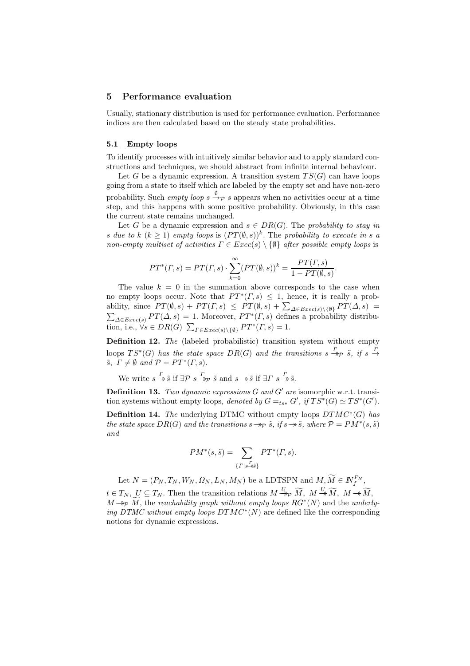### 5 Performance evaluation

Usually, stationary distribution is used for performance evaluation. Performance indices are then calculated based on the steady state probabilities.

#### 5.1 Empty loops

To identify processes with intuitively similar behavior and to apply standard constructions and techniques, we should abstract from infinite internal behaviour.

Let G be a dynamic expression. A transition system  $TS(G)$  can have loops going from a state to itself which are labeled by the empty set and have non-zero probability. Such *empty loop*  $s \xrightarrow{\emptyset} s$  appears when no activities occur at a time step, and this happens with some positive probability. Obviously, in this case the current state remains unchanged.

Let G be a dynamic expression and  $s \in DR(G)$ . The *probability to stay in* s due to k  $(k \geq 1)$  empty loops is  $(PT(\emptyset, s))^k$ . The probability to execute in s a *non-empty multiset of activities*  $\Gamma \in \text{Exec}(s) \setminus \{\emptyset\}$  *after possible empty loops* is

$$
PT^{*}(\Gamma, s) = PT(\Gamma, s) \cdot \sum_{k=0}^{\infty} (PT(\emptyset, s))^{k} = \frac{PT(\Gamma, s)}{1 - PT(\emptyset, s)}.
$$

The value  $k = 0$  in the summation above corresponds to the case when no empty loops occur. Note that  $PT^{*}(T, s) \leq 1$ , hence, it is really a probability, since  $PT(\emptyset, s) + PT(\Gamma, s) \leq PT(\emptyset, s) + \sum_{\Delta \in Exercise(s) \setminus \{\emptyset\}} PT(\Delta, s) =$  $\sum_{\Delta \in \text{Exec}(s)} PT(\Delta, s) = 1.$  Moreover,  $PT^*(\Gamma, s)$  defines a probability distribution, i.e.,  $\forall s \in DR(G)$   $\sum_{\Gamma \in Exercise(s) \setminus \{\emptyset\}} PT^*(\Gamma, s) = 1$ .

Definition 12. *The* (labeled probabilistic) transition system without empty loops  $TS^*(G)$  has the state space  $DR(G)$  and the transitions  $s \stackrel{\Gamma}{\Rightarrow}_{\mathcal{P}} \tilde{s}$ , if  $s \stackrel{\Gamma}{\rightarrow}$  $\tilde{s}, \Gamma \neq \emptyset \text{ and } \mathcal{P} = PT^*(\Gamma, s).$ 

We write  $s \stackrel{\Gamma}{\rightarrow} \tilde{s}$  if  $\exists \mathcal{P} \ s \stackrel{\Gamma}{\rightarrow} \tilde{s}$  and  $s \rightarrow \tilde{s}$  if  $\exists \Gamma \ s \stackrel{\Gamma}{\rightarrow} \tilde{s}$ .

Definition 13. *Two dynamic expressions* G *and* G′ *are* isomorphic w.r.t. transition systems without empty loops, *denoted by*  $G =_{ts*} G'$ , *if*  $TS^*(G) \simeq TS^*(G')$ .

Definition 14. *The* underlying DTMC without empty loops DTMC<sup>∗</sup> (G) *has the state space*  $DR(G)$  *and the transitions*  $s \rightarrow p \tilde{s}$ *, if*  $s \rightarrow \tilde{s}$ *, where*  $P = PM^*(s, \tilde{s})$ *and*

$$
PM^*(s, \tilde{s}) = \sum_{\{ \Gamma \mid s \to \tilde{s} \}} PT^*(\Gamma, s).
$$

Let  $N = (P_N, T_N, W_N, \Omega_N, L_N, M_N)$  be a LDTSPN and  $M, \widetilde{M} \in \mathbb{N}_f^{P_N}$ ,

 $t \in T_N$ ,  $U \subseteq T_N$ . Then the transition relations  $M \stackrel{U}{\rightarrow} \widetilde{M}$ ,  $M \stackrel{U}{\rightarrow} \widetilde{M}$ ,  $M \rightarrow \widetilde{M}$ ,  $M \rightarrow_{\mathcal{P}} M$ , the *reachability graph without empty loops*  $RG^*(N)$  and the *underlying DTMC without empty loops DTMC*<sup>\*</sup>(N) are defined like the corresponding notions for dynamic expressions.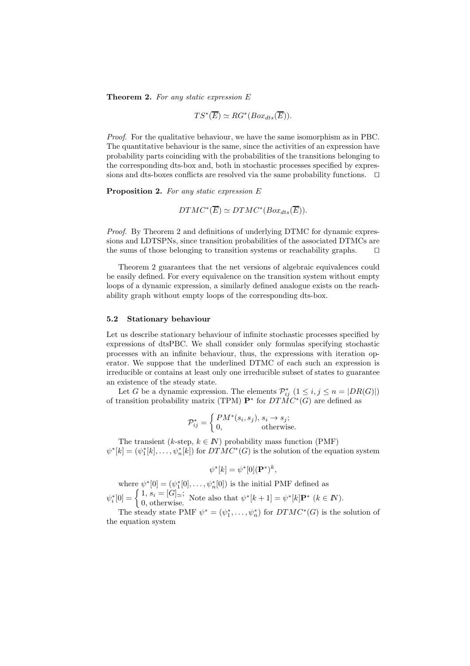Theorem 2. *For any static expression* E

$$
TS^*(\overline{E}) \simeq RG^*(Box_{dts}(\overline{E})).
$$

*Proof.* For the qualitative behaviour, we have the same isomorphism as in PBC. The quantitative behaviour is the same, since the activities of an expression have probability parts coinciding with the probabilities of the transitions belonging to the corresponding dts-box and, both in stochastic processes specified by expressions and dts-boxes conflicts are resolved via the same probability functions. ⊓⊔

Proposition 2. *For any static expression* E

$$
DTMC^*(\overline{E}) \simeq DTMC^*(Box_{dts}(\overline{E})).
$$

*Proof.* By Theorem 2 and definitions of underlying DTMC for dynamic expressions and LDTSPNs, since transition probabilities of the associated DTMCs are the sums of those belonging to transition systems or reachability graphs. ⊓⊔

Theorem 2 guarantees that the net versions of algebraic equivalences could be easily defined. For every equivalence on the transition system without empty loops of a dynamic expression, a similarly defined analogue exists on the reachability graph without empty loops of the corresponding dts-box.

#### 5.2 Stationary behaviour

Let us describe stationary behaviour of infinite stochastic processes specified by expressions of dtsPBC. We shall consider only formulas specifying stochastic processes with an infinite behaviour, thus, the expressions with iteration operator. We suppose that the underlined DTMC of each such an expression is irreducible or contains at least only one irreducible subset of states to guarantee an existence of the steady state.

Let G be a dynamic expression. The elements  $\mathcal{P}_{ij}^*$   $(1 \leq i, j \leq n = |DR(G)|)$ of transition probability matrix (TPM)  $\mathbf{P}^*$  for  $DT\check{MC}^*(G)$  are defined as

$$
\mathcal{P}_{ij}^* = \begin{cases} PM^*(s_i, s_j), \, s_i \to s_j; \\ 0, \qquad \text{otherwise.} \end{cases}
$$

The transient (k-step,  $k \in \mathbb{N}$ ) probability mass function (PMF)  $\psi^*[k] = (\psi_1^*[k], \ldots, \psi_n^*[k])$  for  $DTMC^*(G)$  is the solution of the equation system

$$
\psi^*[k] = \psi^*[0]({\mathbf P}^*)^k,
$$

where  $\psi^*[0] = (\psi_1^*[0], \ldots, \psi_n^*[0])$  is the initial PMF defined as  $\psi_i^*[0] = \begin{cases} 1, s_i = [G]_{\simeq}; \\ 0 \text{ otherwise} \end{cases}$ 1,  $s_i = [\mathbf{U}] \simeq$ ; Note also that  $\psi^*[k+1] = \psi^*[k] \mathbf{P}^*$   $(k \in \mathbb{N})$ .<br>0, otherwise.

The steady state PMF  $\psi^* = (\psi_1^*, \ldots, \psi_n^*)$  for  $DTMC^*(G)$  is the solution of the equation system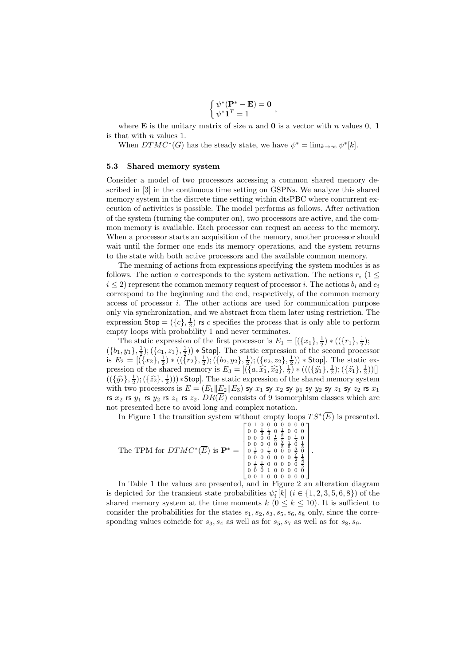$$
\begin{cases}\psi^*(\mathbf{P}^* - \mathbf{E}) = \mathbf{0} \\
\psi^* \mathbf{1}^T = 1\n\end{cases}
$$

where **E** is the unitary matrix of size n and **0** is a vector with n values 0, 1 is that with  $n$  values 1.

When  $DTMC^*(G)$  has the steady state, we have  $\psi^* = \lim_{k \to \infty} \psi^*[k]$ .

#### 5.3 Shared memory system

Consider a model of two processors accessing a common shared memory described in [3] in the continuous time setting on GSPNs. We analyze this shared memory system in the discrete time setting within dtsPBC where concurrent execution of activities is possible. The model performs as follows. After activation of the system (turning the computer on), two processors are active, and the common memory is available. Each processor can request an access to the memory. When a processor starts an acquisition of the memory, another processor should wait until the former one ends its memory operations, and the system returns to the state with both active processors and the available common memory.

The meaning of actions from expressions specifying the system modules is as follows. The action a corresponds to the system activation. The actions  $r_i$  (1 <  $i \leq 2$ ) represent the common memory request of processor i. The actions  $b_i$  and  $e_i$ correspond to the beginning and the end, respectively, of the common memory access of processor i. The other actions are used for communication purpose only via synchronization, and we abstract from them later using restriction. The expression  $\text{Stop} = (\{c\}, \frac{1}{2})$  is c specifies the process that is only able to perform empty loops with probability 1 and never terminates.

The static expression of the first processor is  $E_1 = [(\lbrace x_1 \rbrace, \frac{1}{2}) * ((\lbrace r_1 \rbrace, \frac{1}{2});$  $(\{b_1,y_1\},\frac{1}{2}); (\{e_1,z_1\},\frac{1}{2})) *$  Stop]. The static expression of the second processor is  $E_2 = [\overline{(\{x_2\}, \frac{1}{2}) * ((\overline{\{r_2\}, \frac{1}{2}) ; (\{b_2, y_2\}, \frac{1}{2}) ; (\{e_2, z_2\}, \frac{1}{2})) * \text{Stop}}]$ . The static expression of the shared memory is  $E_3 = [(\{a, \widehat{x_1}, \widehat{x_2}\}, \frac{1}{2}) * (((\{\widehat{y_1}\}, \frac{1}{2}); (\{\widehat{z_1}\}, \frac{1}{2}))])$  $((\{\hat{y}_2\}, \frac{1}{2}); (\{\hat{z}_2\}, \frac{1}{2})))$ ∗Stop]. The static expression of the shared memory system with two processors is  $E = (E_1||E_2||E_3)$  sy  $x_1$  sy  $x_2$  sy  $y_1$  sy  $y_2$  sy  $z_1$  sy  $z_2$  rs  $x_1$ rs  $x_2$  rs  $y_1$  rs  $y_2$  rs  $z_1$  rs  $z_2$ .  $DR(\overline{E})$  consists of 9 isomorphism classes which are not presented here to avoid long and complex notation.

In Figure 1 the transition system without empty loops  $TS^*(\overline{E})$  is presented.

The TPM for  $DTMC^*(\overline{E})$  is  $\mathbf{P}^* =$  $\overline{1}$  $\begin{array}{c} \begin{array}{c} \begin{array}{c} \end{array} \\ \begin{array}{c} \end{array} \end{array} \end{array}$ 0 1 0 0 0 0 0 0  $\frac{1}{3}$   $\frac{1}{3}$  0  $\frac{1}{3}$  0 0 0 0<br>
0 0 0 0  $\frac{1}{6}$   $\frac{1}{5}$   $\frac{3}{6}$   $\frac{1}{6}$   $\frac{1}{6}$ <br>
0 0 0 0 0  $\frac{1}{6}$   $\frac{1}{5}$   $\frac{1}{6}$   $\frac{1}{3}$ <br>
0 0 0 0 0 0  $\frac{1}{2}$   $\frac{1}{2}$   $\frac{3}{6}$ <br>
0 0 0 0 0 0  $[0 0 1 0 0 0 0 0 0]$ Ĭ.  $\begin{array}{c} \begin{array}{c} \begin{array}{c} \begin{array}{c} \end{array} \\ \end{array} \end{array} \end{array}$ .

In Table 1 the values are presented, and in Figure 2 an alteration diagram is depicted for the transient state probabilities  $\psi_i^*[k]$   $(i \in \{1, 2, 3, 5, 6, 8\})$  of the shared memory system at the time moments  $k$  ( $0 \leq k \leq 10$ ). It is sufficient to consider the probabilities for the states  $s_1, s_2, s_3, s_5, s_6, s_8$  only, since the corresponding values coincide for  $s_3$ ,  $s_4$  as well as for  $s_5$ ,  $s_7$  as well as for  $s_8$ ,  $s_9$ .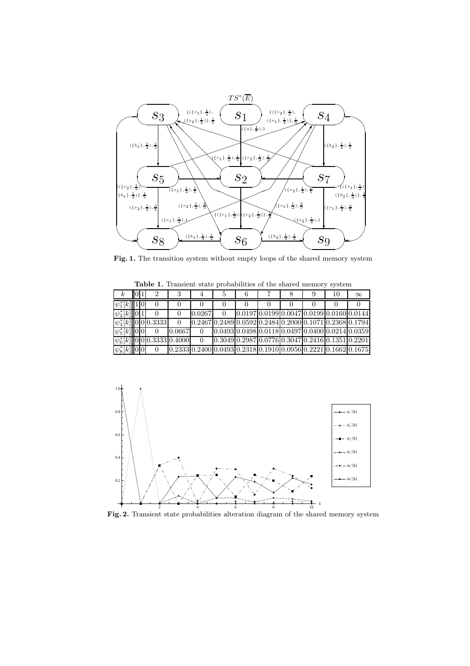

Fig. 1. The transition system without empty loops of the shared memory system

Table 1. Transient state probabilities of the shared memory system

| $\kappa$                          | HO 1 |                                   |        |        | b |  |                                                                                                                                                   | 10 | $\infty$                                                           |
|-----------------------------------|------|-----------------------------------|--------|--------|---|--|---------------------------------------------------------------------------------------------------------------------------------------------------|----|--------------------------------------------------------------------|
| $\psi_1^*[k]$ 10                  |      |                                   |        |        |   |  |                                                                                                                                                   |    |                                                                    |
| $\psi_2^*[k]$ 01                  |      |                                   |        | 0.0267 |   |  | $[0.0197]0.0199]0.0047]0.0199]0.0160]0.0144$                                                                                                      |    |                                                                    |
|                                   |      | $\psi_3^*[k]$ 0 0 0.3333          |        |        |   |  | $[0.2467] 0.2489] 0.0592] 0.2484 \overline{0.2000} 0.1071] 0.2368] 0.1794$                                                                        |    |                                                                    |
| $\psi_5^*[k] \,   \, 0 \, 0 \,  $ |      |                                   | 0.0667 |        |   |  | $[0.0493] 0.0498] 0.0118] 0.0497] 0.0400] 0.0214] 0.0359$                                                                                         |    |                                                                    |
|                                   |      | $\psi_6^*[k]$   0 0 0.3333 0.4000 |        |        |   |  | $\overline{)0.3049}$ $\overline{)0.2987}$ $\overline{)0.0776}$ $\overline{0.3047}$ $\overline{)0.2416}$ $\overline{)0.1351}$ $\overline{)0.2201}$ |    |                                                                    |
| $ \psi_8^*[k] 0 0 $               |      |                                   |        |        |   |  |                                                                                                                                                   |    | $[0.2333]0.2400]0.0493[0.2318]0.1910[0.0956]0.2221]0.1662[0.1675]$ |



Fig. 2. Transient state probabilities alteration diagram of the shared memory system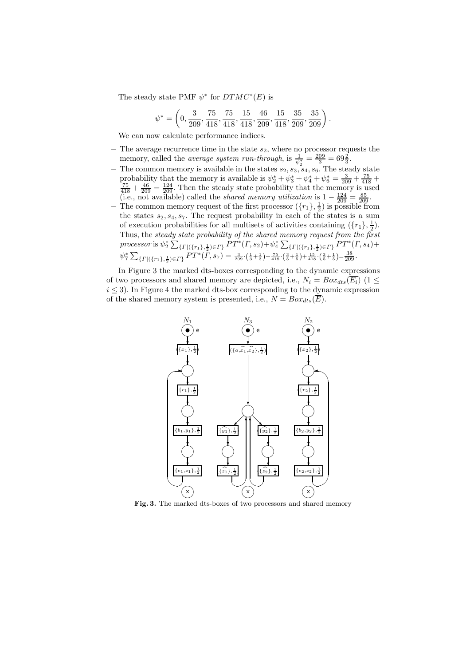The steady state PMF  $\psi^*$  for  $DTMC^*(\overline{E})$  is

$$
\psi^*=\left(0,\frac{3}{209},\frac{75}{418},\frac{75}{418},\frac{15}{418},\frac{46}{209},\frac{15}{418},\frac{35}{209},\frac{35}{209}\right).
$$

We can now calculate performance indices.

- The average recurrence time in the state  $s_2$ , where no processor requests the memory, called the *average system run-through*, is  $\frac{1}{\psi_2^*} = \frac{209}{3} = 69\frac{2}{3}$ .
- The common memory is available in the states  $s_2, s_3, s_4, s_6$ . The steady state probability that the memory is available is  $\psi_2^* + \psi_3^* + \psi_4^* + \psi_6^* = \frac{3}{209} + \frac{75}{418} + \frac{75}{209} + \frac{46}{209} = \frac{124}{209}$ . Then the steady state probability that the memory is used (i.e., not available) called the *shared memory utilization* is  $1 - \frac{124}{209} = \frac{85}{209}$ .
- The common memory request of the first processor  $(\lbrace r_1 \rbrace, \frac{1}{2})$  is possible from the states  $s_2, s_4, s_7$ . The request probability in each of the states is a sum of execution probabilities for all multisets of activities containing  $({r_1}, \frac{1}{2})$ . 2 Thus, the *steady state probability of the shared memory request from the first* processor is  $\psi_2^*$   $\sum_{\{ \Gamma | (\{r_1\}, \frac{1}{2}) \in \Gamma \}} PT^*(\Gamma, s_2) + \psi_4^*$   $\sum_{\{ \Gamma | (\{r_1\}, \frac{1}{2}) \in \Gamma \}} PT^*(\Gamma, s_4) +$  $\psi_7^* \sum_{\{ \Gamma | (\{r_1\},\frac{1}{2}) \in \Gamma \}} PT^*(\overline{T},s_7) = \frac{3}{209} \cdot (\frac{1}{3} + \frac{1}{3}) + \frac{75}{418} \cdot (\frac{3}{5} + \frac{1}{5}) + \frac{15}{418} \cdot (\frac{3}{5} + \frac{1}{5}) = \frac{38}{209}.$

In Figure 3 the marked dts-boxes corresponding to the dynamic expressions of two processors and shared memory are depicted, i.e.,  $N_i = Box_{dts}(\overline{E_i})$  (1  $\leq$  $i \leq 3$ ). In Figure 4 the marked dts-box corresponding to the dynamic expression of the shared memory system is presented, i.e.,  $N = Box_{dts}(\overline{E}).$ 



Fig. 3. The marked dts-boxes of two processors and shared memory